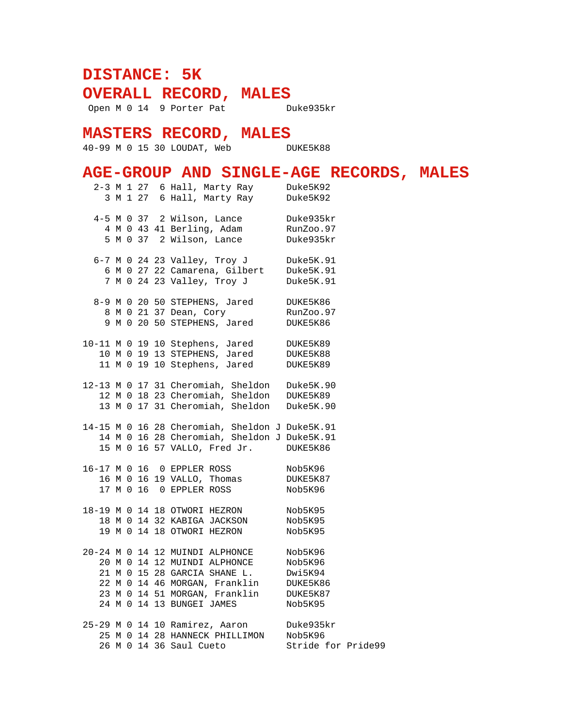## **DISTANCE: 5K**

**OVERALL RECORD, MALES**

Open M 0 14 9 Porter Pat Duke935kr

## **MASTERS RECORD, MALES**

---<br>40-99 M 0 15 30 LOUDAT, Web DUKE5K88

## **AGE-GROUP AND SINGLE-AGE RECORDS, MALES**

|  |  |  |  | 2-3 M 1 27 6 Hall, Marty Ray Duke5K92                                                    |                    |
|--|--|--|--|------------------------------------------------------------------------------------------|--------------------|
|  |  |  |  | 3 M 1 27 6 Hall, Marty Ray                                                               | Duke5K92           |
|  |  |  |  |                                                                                          |                    |
|  |  |  |  | 4-5 M 0 37 2 Wilson, Lance                                                               | Duke935kr          |
|  |  |  |  | 4 M 0 43 41 Berling, Adam RunZoo.97                                                      |                    |
|  |  |  |  | 5 M 0 37 2 Wilson, Lance                                                                 | Duke935kr          |
|  |  |  |  |                                                                                          |                    |
|  |  |  |  | 6-7 M 0 24 23 Valley, Troy J Duke5K.91                                                   |                    |
|  |  |  |  |                                                                                          |                    |
|  |  |  |  | 6 M 0 27 22 Camarena, Gilbert Duke5K.91<br>7 M 0 24 23 Valley, Troy J Duke5K.91          |                    |
|  |  |  |  |                                                                                          |                    |
|  |  |  |  | 8-9 M 0 20 50 STEPHENS, Jared                                                            | DUKE5K86           |
|  |  |  |  | 8 M 0 21 37 Dean, Cory                                                                   | RunZoo.97          |
|  |  |  |  | 9 M 0 20 50 STEPHENS, Jared                                                              | DUKE5K86           |
|  |  |  |  |                                                                                          |                    |
|  |  |  |  | 10-11 M 0 19 10 Stephens, Jared                                                          | DUKE5K89           |
|  |  |  |  | 10 M 0 19 13 STEPHENS, Jared                                                             | DUKE5K88           |
|  |  |  |  | 11 M 0 19 10 Stephens, Jared                                                             | DUKE5K89           |
|  |  |  |  |                                                                                          |                    |
|  |  |  |  |                                                                                          |                    |
|  |  |  |  | 12-13 M 0 17 31 Cheromiah, Sheldon Duke5K.90<br>12 M 0 18 23 Cheromiah, Sheldon DUKE5K89 |                    |
|  |  |  |  | 13 M 0 17 31 Cheromiah, Sheldon Duke5K.90                                                |                    |
|  |  |  |  |                                                                                          |                    |
|  |  |  |  | 14-15 M 0 16 28 Cheromiah, Sheldon J Duke5K.91                                           |                    |
|  |  |  |  | 14 M 0 16 28 Cheromiah, Sheldon J Duke5K.91                                              |                    |
|  |  |  |  | 15 M 0 16 57 VALLO, Fred Jr. DUKE5K86                                                    |                    |
|  |  |  |  |                                                                                          |                    |
|  |  |  |  | 16-17 M 0 16 0 EPPLER ROSS                                                               | Nob5K96            |
|  |  |  |  | $16 M 0 16 19 VALLO$ , Thomas                                                            | DUKE5K87           |
|  |  |  |  | 17 M 0 16 0 EPPLER ROSS                                                                  | Nob5K96            |
|  |  |  |  |                                                                                          |                    |
|  |  |  |  | 18-19 M 0 14 18 OTWORI HEZRON                                                            | Nob5K95            |
|  |  |  |  | 18 M 0 14 32 KABIGA JACKSON                                                              | Nob5K95            |
|  |  |  |  | 19 M 0 14 18 OTWORI HEZRON                                                               | Nob5K95            |
|  |  |  |  |                                                                                          |                    |
|  |  |  |  | 20-24 M 0 14 12 MUINDI ALPHONCE                                                          | Nob5K96            |
|  |  |  |  | 20 M 0 14 12 MUINDI ALPHONCE                                                             | Nob5K96            |
|  |  |  |  | 21 M 0 15 28 GARCIA SHANE L.                                                             | Dwi5K94            |
|  |  |  |  | 22 M 0 14 46 MORGAN, Franklin DUKE5K86                                                   |                    |
|  |  |  |  |                                                                                          |                    |
|  |  |  |  | 23 M 0 14 51 MORGAN, Franklin DUKE5K87<br>24 M 0 14 13 BUNGEI JAMES                      | Nob5K95            |
|  |  |  |  |                                                                                          |                    |
|  |  |  |  |                                                                                          | Duke935kr          |
|  |  |  |  | 25-29 M 0 14 10 Ramirez, Aaron Duke935k<br>25 M 0 14 28 HANNECK PHILLIMON Nob5K96        |                    |
|  |  |  |  | 26 M 0 14 36 Saul Cueto                                                                  | Stride for Pride99 |
|  |  |  |  |                                                                                          |                    |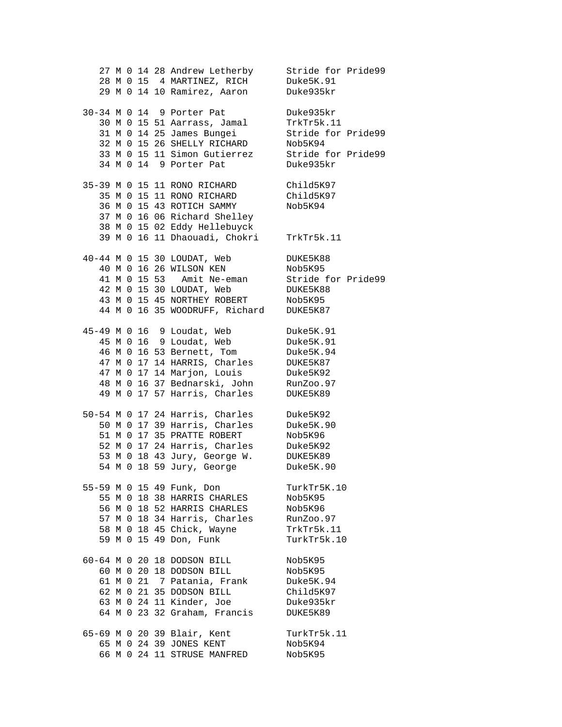27 M 0 14 28 Andrew Letherby Stride for Pride99 28 M 0 15 4 MARTINEZ, RICH Duke5K.91 29 M 0 14 10 Ramirez, Aaron Duke935kr 30-34 M 0 14 9 Porter Pat Duke935kr 30 M 0 15 51 Aarrass, Jamal TrkTr5k.11 31 M 0 14 25 James Bungei Stride for Pride99 32 M 0 15 26 SHELLY RICHARD Nob5K94 33 M 0 15 11 Simon Gutierrez Stride for Pride99 34 M 0 14 9 Porter Pat Duke935kr 35-39 M 0 15 11 RONO RICHARD Child5K97 35 M 0 15 11 RONO RICHARD Child5K97 36 M 0 15 43 ROTICH SAMMY Nob5K94 37 M 0 16 06 Richard Shelley 38 M 0 15 02 Eddy Hellebuyck 39 M 0 16 11 Dhaouadi, Chokri TrkTr5k.11 40-44 M 0 15 30 LOUDAT, Web DUKE5K88 40 M 0 16 26 WILSON KEN Nob5K95 41 M 0 15 53 Amit Ne-eman Stride for Pride99 42 M 0 15 30 LOUDAT, Web DUKE5K88 43 M 0 15 45 NORTHEY ROBERT Nob5K95 44 M 0 16 35 WOODRUFF, Richard DUKE5K87 45-49 M 0 16 9 Loudat, Web Duke5K.91 45 M 0 16 9 Loudat, Web Duke5K.91 46 M 0 16 53 Bernett, Tom Duke5K.94 47 M 0 17 14 HARRIS, Charles DUKE5K87 47 M 0 17 14 Marjon, Louis Duke5K92 48 M 0 16 37 Bednarski, John RunZoo.97 49 M 0 17 57 Harris, Charles DUKE5K89 50-54 M 0 17 24 Harris, Charles Duke5K92 50 M 0 17 39 Harris, Charles Duke5K.90 51 M 0 17 35 PRATTE ROBERT Nob5K96 52 M 0 17 24 Harris, Charles Duke5K92 53 M 0 18 43 Jury, George W. DUKE5K89 54 M 0 18 59 Jury, George Duke5K.90 55-59 M 0 15 49 Funk, Don TurkTr5K.10 55 M 0 18 38 HARRIS CHARLES Nob5K95 56 M 0 18 52 HARRIS CHARLES Nob5K96 57 M 0 18 34 Harris, Charles RunZoo.97 58 M 0 18 45 Chick, Wayne TrkTr5k.11 59 M 0 15 49 Don, Funk TurkTr5k.10 60-64 M 0 20 18 DODSON BILL Nob5K95 60 M 0 20 18 DODSON BILL Nob5K95 61 M 0 21 7 Patania, Frank Duke5K.94 62 M 0 21 35 DODSON BILL Child5K97 63 M 0 24 11 Kinder, Joe Duke935kr 64 M 0 23 32 Graham, Francis DUKE5K89 65-69 M 0 20 39 Blair, Kent TurkTr5k.11 65 M 0 24 39 JONES KENT Nob5K94 66 M 0 24 11 STRUSE MANFRED Nob5K95